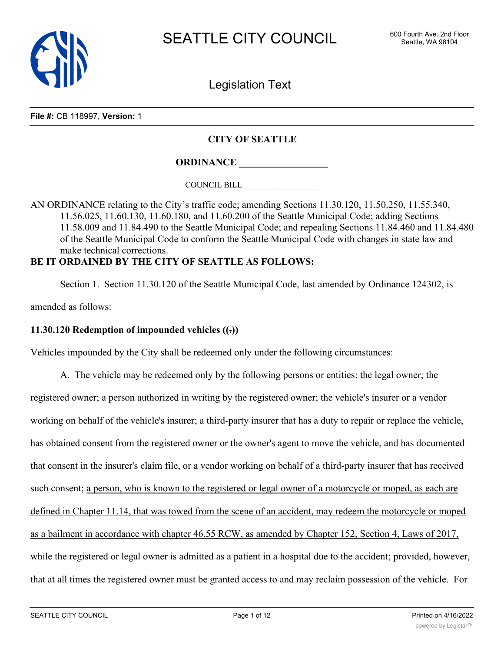

Legislation Text

**File #:** CB 118997, **Version:** 1

## **CITY OF SEATTLE**

**ORDINANCE \_\_\_\_\_\_\_\_\_\_\_\_\_\_\_\_\_\_**

COUNCIL BILL \_\_\_\_\_\_\_\_\_\_\_\_\_\_\_\_\_\_

AN ORDINANCE relating to the City's traffic code; amending Sections 11.30.120, 11.50.250, 11.55.340, 11.56.025, 11.60.130, 11.60.180, and 11.60.200 of the Seattle Municipal Code; adding Sections 11.58.009 and 11.84.490 to the Seattle Municipal Code; and repealing Sections 11.84.460 and 11.84.480 of the Seattle Municipal Code to conform the Seattle Municipal Code with changes in state law and make technical corrections.

# **BE IT ORDAINED BY THE CITY OF SEATTLE AS FOLLOWS:**

Section 1. Section 11.30.120 of the Seattle Municipal Code, last amended by Ordinance 124302, is

amended as follows:

## **11.30.120 Redemption of impounded vehicles ((.))**

Vehicles impounded by the City shall be redeemed only under the following circumstances:

A. The vehicle may be redeemed only by the following persons or entities: the legal owner; the registered owner; a person authorized in writing by the registered owner; the vehicle's insurer or a vendor working on behalf of the vehicle's insurer; a third-party insurer that has a duty to repair or replace the vehicle, has obtained consent from the registered owner or the owner's agent to move the vehicle, and has documented that consent in the insurer's claim file, or a vendor working on behalf of a third-party insurer that has received such consent; a person, who is known to the registered or legal owner of a motorcycle or moped, as each are defined in Chapter 11.14, that was towed from the scene of an accident, may redeem the motorcycle or moped as a bailment in accordance with chapter 46.55 RCW, as amended by Chapter 152, Section 4, Laws of 2017, while the registered or legal owner is admitted as a patient in a hospital due to the accident; provided, however, that at all times the registered owner must be granted access to and may reclaim possession of the vehicle. For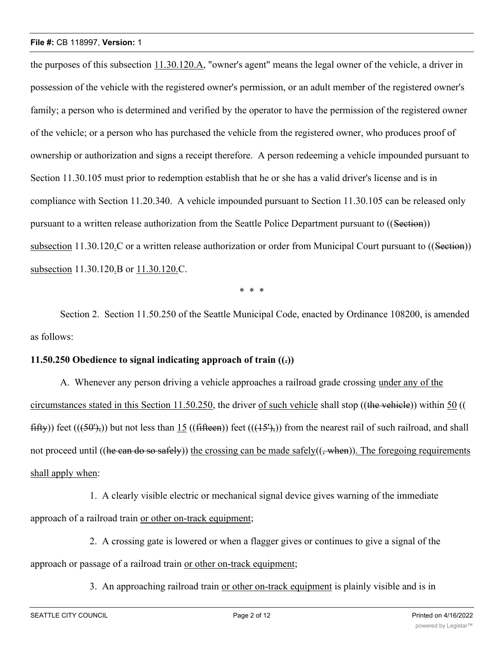the purposes of this subsection 11.30.120.A, "owner's agent" means the legal owner of the vehicle, a driver in possession of the vehicle with the registered owner's permission, or an adult member of the registered owner's family; a person who is determined and verified by the operator to have the permission of the registered owner of the vehicle; or a person who has purchased the vehicle from the registered owner, who produces proof of ownership or authorization and signs a receipt therefore. A person redeeming a vehicle impounded pursuant to Section 11.30.105 must prior to redemption establish that he or she has a valid driver's license and is in compliance with Section 11.20.340. A vehicle impounded pursuant to Section 11.30.105 can be released only pursuant to a written release authorization from the Seattle Police Department pursuant to ((Section)) subsection 11.30.120.C or a written release authorization or order from Municipal Court pursuant to ((Section)) subsection 11.30.120.B or 11.30.120.C.

\* \* \*

Section 2. Section 11.50.250 of the Seattle Municipal Code, enacted by Ordinance 108200, is amended as follows:

## **11.50.250 Obedience to signal indicating approach of train ((.))**

A. Whenever any person driving a vehicle approaches a railroad grade crossing under any of the circumstances stated in this Section 11.50.250, the driver of such vehicle shall stop ((the vehicle)) within 50 ((  $fiffy)$  feet  $((f50^{\circ}),)$  but not less than 15  $((fiffeen))$  feet  $((f5^{\circ}),)$  from the nearest rail of such railroad, and shall not proceed until ((he can do so safely)) the crossing can be made safely( $($ , when)). The foregoing requirements shall apply when:

1. A clearly visible electric or mechanical signal device gives warning of the immediate approach of a railroad train or other on-track equipment;

2. A crossing gate is lowered or when a flagger gives or continues to give a signal of the approach or passage of a railroad train or other on-track equipment;

3. An approaching railroad train or other on-track equipment is plainly visible and is in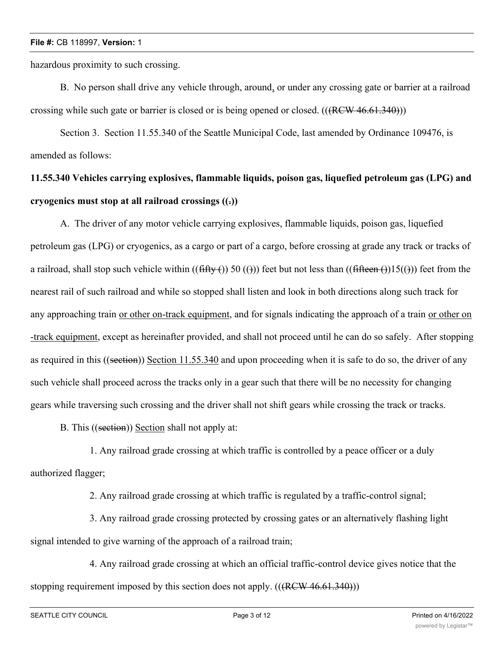hazardous proximity to such crossing.

B. No person shall drive any vehicle through, around, or under any crossing gate or barrier at a railroad crossing while such gate or barrier is closed or is being opened or closed.  $(((REW 46.61.340))$ )

Section 3. Section 11.55.340 of the Seattle Municipal Code, last amended by Ordinance 109476, is amended as follows:

# **11.55.340 Vehicles carrying explosives, flammable liquids, poison gas, liquefied petroleum gas (LPG) and cryogenics must stop at all railroad crossings ((.))**

A. The driver of any motor vehicle carrying explosives, flammable liquids, poison gas, liquefied petroleum gas (LPG) or cryogenics, as a cargo or part of a cargo, before crossing at grade any track or tracks of a railroad, shall stop such vehicle within  $((\text{fifty}()))$  50 (())) feet but not less than  $((\text{fifteen}()))$  feet from the nearest rail of such railroad and while so stopped shall listen and look in both directions along such track for any approaching train or other on-track equipment, and for signals indicating the approach of a train or other on -track equipment, except as hereinafter provided, and shall not proceed until he can do so safely. After stopping as required in this ((section)) Section 11.55.340 and upon proceeding when it is safe to do so, the driver of any such vehicle shall proceed across the tracks only in a gear such that there will be no necessity for changing gears while traversing such crossing and the driver shall not shift gears while crossing the track or tracks.

B. This ((section)) Section shall not apply at:

1. Any railroad grade crossing at which traffic is controlled by a peace officer or a duly authorized flagger;

2. Any railroad grade crossing at which traffic is regulated by a traffic-control signal;

3. Any railroad grade crossing protected by crossing gates or an alternatively flashing light signal intended to give warning of the approach of a railroad train;

4. Any railroad grade crossing at which an official traffic-control device gives notice that the stopping requirement imposed by this section does not apply.  $(((RCW 46.61.340)))$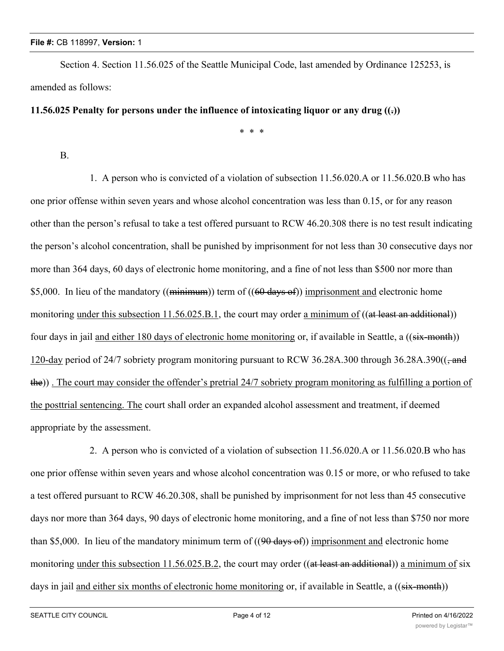Section 4. Section 11.56.025 of the Seattle Municipal Code, last amended by Ordinance 125253, is amended as follows:

## **11.56.025 Penalty for persons under the influence of intoxicating liquor or any drug ((.))**

\* \* \*

## B.

1. A person who is convicted of a violation of subsection 11.56.020.A or 11.56.020.B who has one prior offense within seven years and whose alcohol concentration was less than 0.15, or for any reason other than the person's refusal to take a test offered pursuant to RCW 46.20.308 there is no test result indicating the person's alcohol concentration, shall be punished by imprisonment for not less than 30 consecutive days nor more than 364 days, 60 days of electronic home monitoring, and a fine of not less than \$500 nor more than \$5,000. In lieu of the mandatory ((minimum)) term of ((60 days of)) imprisonment and electronic home monitoring under this subsection  $11.56.025.B.1$ , the court may order a minimum of  $((at least an additional))$ four days in jail and either 180 days of electronic home monitoring or, if available in Seattle, a ((six-month)) 120-day period of 24/7 sobriety program monitoring pursuant to RCW 36.28A.300 through 36.28A.390((, and the)) . The court may consider the offender's pretrial 24/7 sobriety program monitoring as fulfilling a portion of the posttrial sentencing. The court shall order an expanded alcohol assessment and treatment, if deemed appropriate by the assessment.

2. A person who is convicted of a violation of subsection 11.56.020.A or 11.56.020.B who has one prior offense within seven years and whose alcohol concentration was 0.15 or more, or who refused to take a test offered pursuant to RCW 46.20.308, shall be punished by imprisonment for not less than 45 consecutive days nor more than 364 days, 90 days of electronic home monitoring, and a fine of not less than \$750 nor more than \$5,000. In lieu of the mandatory minimum term of  $((90 \text{ days of}))$  imprisonment and electronic home monitoring under this subsection  $11.56.025.B.2$ , the court may order ((at least an additional)) a minimum of six days in jail and either six months of electronic home monitoring or, if available in Seattle, a ((six-month))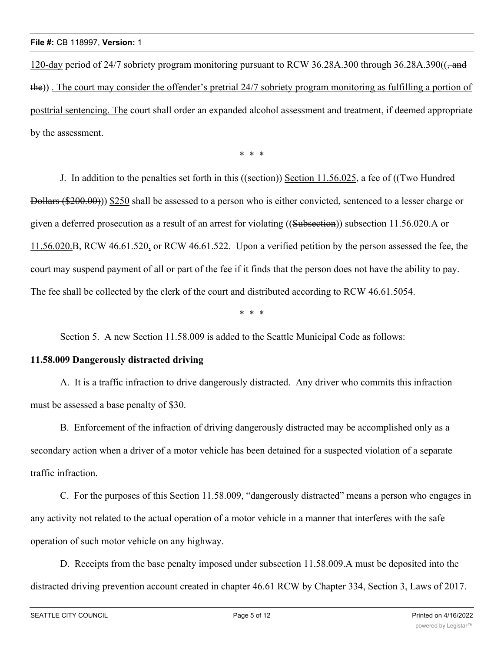120-day period of 24/7 sobriety program monitoring pursuant to RCW 36.28A.300 through 36.28A.390( $\left($ , and the)) . The court may consider the offender's pretrial 24/7 sobriety program monitoring as fulfilling a portion of posttrial sentencing. The court shall order an expanded alcohol assessment and treatment, if deemed appropriate by the assessment.

\* \* \*

J. In addition to the penalties set forth in this ((section)) Section 11.56.025, a fee of ((Two Hundred Dollars (\$200.00))) \$250 shall be assessed to a person who is either convicted, sentenced to a lesser charge or given a deferred prosecution as a result of an arrest for violating ((Subsection)) subsection 11.56.020.A or 11.56.020.B, RCW 46.61.520, or RCW 46.61.522. Upon a verified petition by the person assessed the fee, the court may suspend payment of all or part of the fee if it finds that the person does not have the ability to pay. The fee shall be collected by the clerk of the court and distributed according to RCW 46.61.5054.

\* \* \*

Section 5. A new Section 11.58.009 is added to the Seattle Municipal Code as follows:

#### **11.58.009 Dangerously distracted driving**

A. It is a traffic infraction to drive dangerously distracted. Any driver who commits this infraction must be assessed a base penalty of \$30.

B. Enforcement of the infraction of driving dangerously distracted may be accomplished only as a secondary action when a driver of a motor vehicle has been detained for a suspected violation of a separate traffic infraction.

C. For the purposes of this Section 11.58.009, "dangerously distracted" means a person who engages in any activity not related to the actual operation of a motor vehicle in a manner that interferes with the safe operation of such motor vehicle on any highway.

D. Receipts from the base penalty imposed under subsection 11.58.009.A must be deposited into the distracted driving prevention account created in chapter 46.61 RCW by Chapter 334, Section 3, Laws of 2017.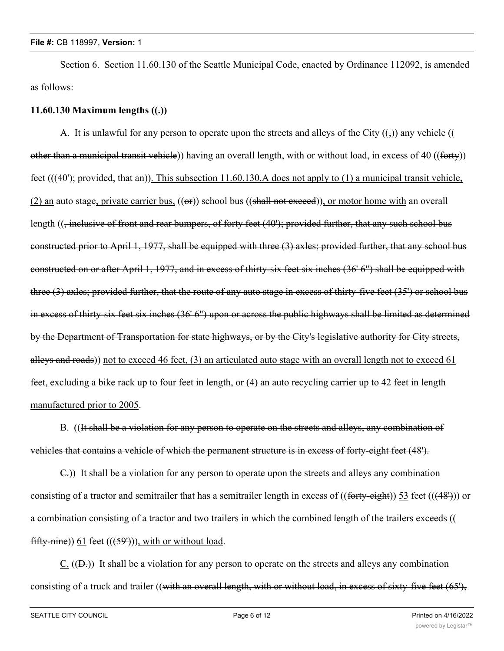Section 6. Section 11.60.130 of the Seattle Municipal Code, enacted by Ordinance 112092, is amended as follows:

### **11.60.130 Maximum lengths ((.))**

A. It is unlawful for any person to operate upon the streets and alleys of the City  $(\frac{1}{2})$  any vehicle (() other than a municipal transit vehicle)) having an overall length, with or without load, in excess of 40 ((forty)) feet  $(((40');$  provided, that an)). This subsection 11.60.130.A does not apply to (1) a municipal transit vehicle, (2) an auto stage, private carrier bus,  $((\Theta F))$  school bus  $((\text{shall not exceed})),$  or motor home with an overall length ((, inclusive of front and rear bumpers, of forty feet (40'); provided further, that any such school bus constructed prior to April 1, 1977, shall be equipped with three (3) axles; provided further, that any school bus constructed on or after April 1, 1977, and in excess of thirty-six feet six inches (36' 6") shall be equipped with three (3) axles; provided further, that the route of any auto stage in excess of thirty-five feet (35') or school bus in excess of thirty-six feet six inches (36' 6") upon or across the public highways shall be limited as determined by the Department of Transportation for state highways, or by the City's legislative authority for City streets, alleys and roads)) not to exceed 46 feet, (3) an articulated auto stage with an overall length not to exceed 61 feet, excluding a bike rack up to four feet in length, or (4) an auto recycling carrier up to 42 feet in length manufactured prior to 2005.

B. ((It shall be a violation for any person to operate on the streets and alleys, any combination of vehicles that contains a vehicle of which the permanent structure is in excess of forty-eight feet (48').

C.)) It shall be a violation for any person to operate upon the streets and alleys any combination consisting of a tractor and semitrailer that has a semitrailer length in excess of  $((forty-eight))$  53 feet  $((48<sup>n</sup>))$  or a combination consisting of a tractor and two trailers in which the combined length of the trailers exceeds (( fifty-nine))  $61$  feet (( $(59')$ )), with or without load.

 $C.$  (( $\Theta$ )) It shall be a violation for any person to operate on the streets and alleys any combination consisting of a truck and trailer ((with an overall length, with or without load, in excess of sixty-five feet (65'),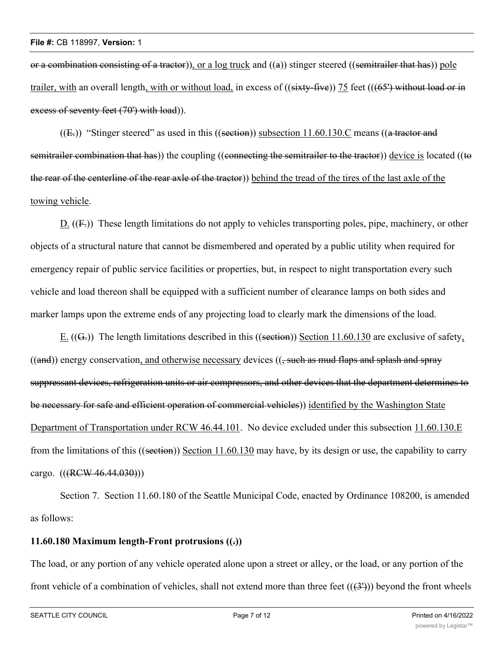or a combination consisting of a tractor), or a log truck and  $((a))$  stinger steered ((semitrailer that has)) pole trailer, with an overall length, with or without load, in excess of  $((sixty-five))$  75 feet  $(((65')$  without load or in excess of seventy feet (70') with load)).

 $((E))$  "Stinger steered" as used in this  $((setion))$  subsection 11.60.130.C means  $((a$  tractor and semitrailer combination that has)) the coupling ((connecting the semitrailer to the tractor)) device is located ((to the rear of the centerline of the rear axle of the tractor)) behind the tread of the tires of the last axle of the towing vehicle.

D.  $((F<sub>z</sub>))$  These length limitations do not apply to vehicles transporting poles, pipe, machinery, or other objects of a structural nature that cannot be dismembered and operated by a public utility when required for emergency repair of public service facilities or properties, but, in respect to night transportation every such vehicle and load thereon shall be equipped with a sufficient number of clearance lamps on both sides and marker lamps upon the extreme ends of any projecting load to clearly mark the dimensions of the load.

E.  $((G))$  The length limitations described in this  $((section))$  Section 11.60.130 are exclusive of safety,  $((and))$  energy conservation, and otherwise necessary devices  $((, such as \text{ mud flaps and splash and spray})$ suppressant devices, refrigeration units or air compressors, and other devices that the department determines to be necessary for safe and efficient operation of commercial vehicles)) identified by the Washington State Department of Transportation under RCW 46.44.101. No device excluded under this subsection 11.60.130.E from the limitations of this ((section)) Section 11.60.130 may have, by its design or use, the capability to carry cargo.  $(((RCW 46.44.030)))$ 

Section 7. Section 11.60.180 of the Seattle Municipal Code, enacted by Ordinance 108200, is amended as follows:

## **11.60.180 Maximum length-Front protrusions ((.))**

The load, or any portion of any vehicle operated alone upon a street or alley, or the load, or any portion of the front vehicle of a combination of vehicles, shall not extend more than three feet  $((3'))$  beyond the front wheels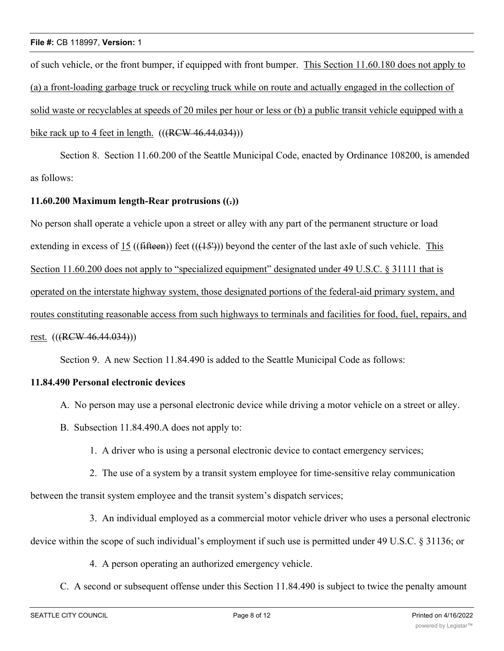of such vehicle, or the front bumper, if equipped with front bumper. This Section 11.60.180 does not apply to (a) a front-loading garbage truck or recycling truck while on route and actually engaged in the collection of solid waste or recyclables at speeds of 20 miles per hour or less or (b) a public transit vehicle equipped with a bike rack up to 4 feet in length.  $((RCW 46.44.034))$ 

Section 8. Section 11.60.200 of the Seattle Municipal Code, enacted by Ordinance 108200, is amended as follows:

# **11.60.200 Maximum length-Rear protrusions ((.))**

No person shall operate a vehicle upon a street or alley with any part of the permanent structure or load extending in excess of 15 ((fifteen)) feet (( $(15^{\circ})$ ) beyond the center of the last axle of such vehicle. This Section 11.60.200 does not apply to "specialized equipment" designated under 49 U.S.C. § 31111 that is operated on the interstate highway system, those designated portions of the federal-aid primary system, and routes constituting reasonable access from such highways to terminals and facilities for food, fuel, repairs, and rest. (((RCW 46.44.034)))

Section 9. A new Section 11.84.490 is added to the Seattle Municipal Code as follows:

# **11.84.490 Personal electronic devices**

- A. No person may use a personal electronic device while driving a motor vehicle on a street or alley.
- B. Subsection 11.84.490.A does not apply to:
	- 1. A driver who is using a personal electronic device to contact emergency services;
- 2. The use of a system by a transit system employee for time-sensitive relay communication

between the transit system employee and the transit system's dispatch services;

3. An individual employed as a commercial motor vehicle driver who uses a personal electronic

device within the scope of such individual's employment if such use is permitted under 49 U.S.C. § 31136; or

4. A person operating an authorized emergency vehicle.

C. A second or subsequent offense under this Section 11.84.490 is subject to twice the penalty amount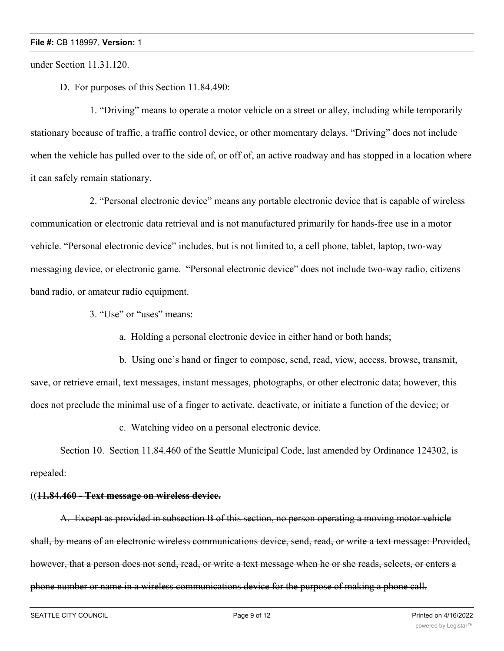under Section 11.31.120.

D. For purposes of this Section 11.84.490:

1. "Driving" means to operate a motor vehicle on a street or alley, including while temporarily stationary because of traffic, a traffic control device, or other momentary delays. "Driving" does not include when the vehicle has pulled over to the side of, or off of, an active roadway and has stopped in a location where it can safely remain stationary.

2. "Personal electronic device" means any portable electronic device that is capable of wireless communication or electronic data retrieval and is not manufactured primarily for hands-free use in a motor vehicle. "Personal electronic device" includes, but is not limited to, a cell phone, tablet, laptop, two-way messaging device, or electronic game. "Personal electronic device" does not include two-way radio, citizens band radio, or amateur radio equipment.

3. "Use" or "uses" means:

a. Holding a personal electronic device in either hand or both hands;

b. Using one's hand or finger to compose, send, read, view, access, browse, transmit, save, or retrieve email, text messages, instant messages, photographs, or other electronic data; however, this does not preclude the minimal use of a finger to activate, deactivate, or initiate a function of the device; or

c. Watching video on a personal electronic device.

Section 10. Section 11.84.460 of the Seattle Municipal Code, last amended by Ordinance 124302, is repealed:

#### ((**11.84.460 - Text message on wireless device.**

A. Except as provided in subsection B of this section, no person operating a moving motor vehicle shall, by means of an electronic wireless communications device, send, read, or write a text message: Provided, however, that a person does not send, read, or write a text message when he or she reads, selects, or enters a phone number or name in a wireless communications device for the purpose of making a phone call.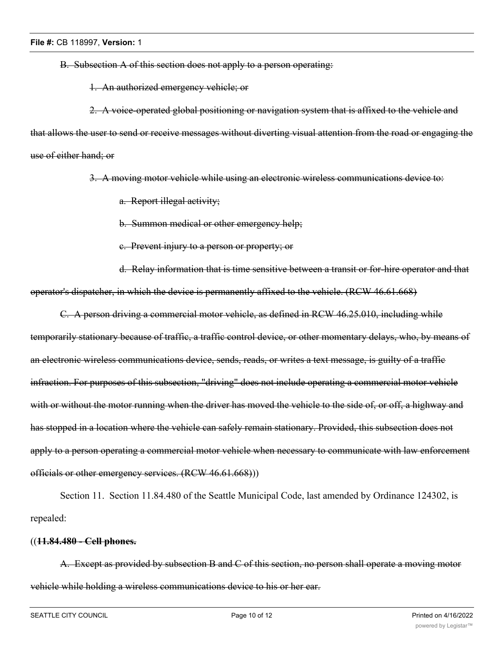B. Subsection A of this section does not apply to a person operating:

1. An authorized emergency vehicle; or

2. A voice-operated global positioning or navigation system that is affixed to the vehicle and that allows the user to send or receive messages without diverting visual attention from the road or engaging the use of either hand; or

3. A moving motor vehicle while using an electronic wireless communications device to:

a. Report illegal activity;

b. Summon medical or other emergency help;

c. Prevent injury to a person or property; or

d. Relay information that is time sensitive between a transit or for-hire operator and that operator's dispatcher, in which the device is permanently affixed to the vehicle. (RCW 46.61.668)

C. A person driving a commercial motor vehicle, as defined in RCW 46.25.010, including while temporarily stationary because of traffic, a traffic control device, or other momentary delays, who, by means of an electronic wireless communications device, sends, reads, or writes a text message, is guilty of a traffic infraction. For purposes of this subsection, "driving" does not include operating a commercial motor vehicle with or without the motor running when the driver has moved the vehicle to the side of, or off, a highway and has stopped in a location where the vehicle can safely remain stationary. Provided, this subsection does not apply to a person operating a commercial motor vehicle when necessary to communicate with law enforcement officials or other emergency services. (RCW 46.61.668)))

Section 11. Section 11.84.480 of the Seattle Municipal Code, last amended by Ordinance 124302, is repealed:

## ((**11.84.480 - Cell phones.**

A. Except as provided by subsection B and C of this section, no person shall operate a moving motor vehicle while holding a wireless communications device to his or her ear.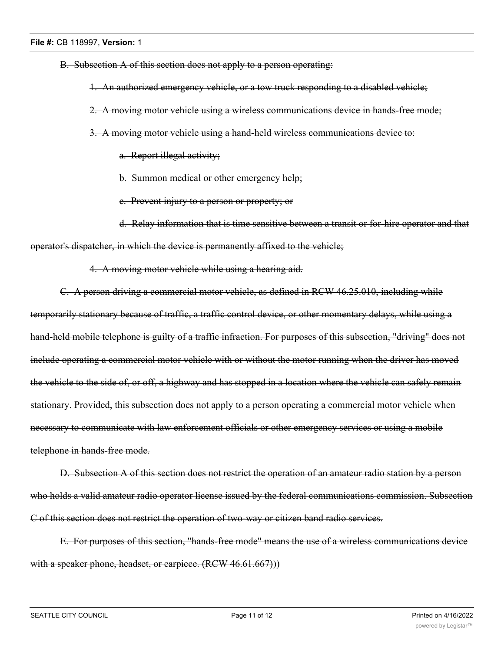B. Subsection A of this section does not apply to a person operating:

1. An authorized emergency vehicle, or a tow truck responding to a disabled vehicle;

2. A moving motor vehicle using a wireless communications device in hands-free mode;

3. A moving motor vehicle using a hand-held wireless communications device to:

a. Report illegal activity;

b. Summon medical or other emergency help;

c. Prevent injury to a person or property; or

d. Relay information that is time sensitive between a transit or for-hire operator and that operator's dispatcher, in which the device is permanently affixed to the vehicle;

4. A moving motor vehicle while using a hearing aid.

C. A person driving a commercial motor vehicle, as defined in RCW 46.25.010, including while temporarily stationary because of traffic, a traffic control device, or other momentary delays, while using a hand-held mobile telephone is guilty of a traffic infraction. For purposes of this subsection, "driving" does not include operating a commercial motor vehicle with or without the motor running when the driver has moved the vehicle to the side of, or off, a highway and has stopped in a location where the vehicle can safely remain stationary. Provided, this subsection does not apply to a person operating a commercial motor vehicle when necessary to communicate with law enforcement officials or other emergency services or using a mobile telephone in hands-free mode.

D. Subsection A of this section does not restrict the operation of an amateur radio station by a person who holds a valid amateur radio operator license issued by the federal communications commission. Subsection C of this section does not restrict the operation of two-way or citizen band radio services.

E. For purposes of this section, "hands-free mode" means the use of a wireless communications device with a speaker phone, headset, or earpiece. (RCW 46.61.667)))